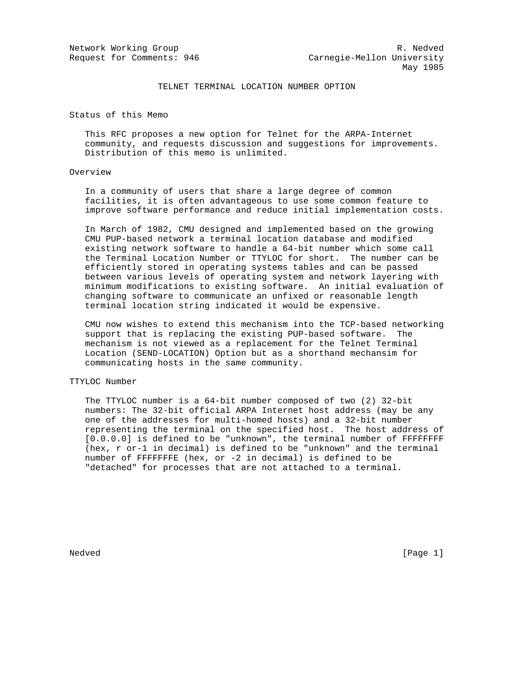## TELNET TERMINAL LOCATION NUMBER OPTION

Status of this Memo

 This RFC proposes a new option for Telnet for the ARPA-Internet community, and requests discussion and suggestions for improvements. Distribution of this memo is unlimited.

## Overview

 In a community of users that share a large degree of common facilities, it is often advantageous to use some common feature to improve software performance and reduce initial implementation costs.

 In March of 1982, CMU designed and implemented based on the growing CMU PUP-based network a terminal location database and modified existing network software to handle a 64-bit number which some call the Terminal Location Number or TTYLOC for short. The number can be efficiently stored in operating systems tables and can be passed between various levels of operating system and network layering with minimum modifications to existing software. An initial evaluation of changing software to communicate an unfixed or reasonable length terminal location string indicated it would be expensive.

 CMU now wishes to extend this mechanism into the TCP-based networking support that is replacing the existing PUP-based software. The mechanism is not viewed as a replacement for the Telnet Terminal Location (SEND-LOCATION) Option but as a shorthand mechansim for communicating hosts in the same community.

## TTYLOC Number

 The TTYLOC number is a 64-bit number composed of two (2) 32-bit numbers: The 32-bit official ARPA Internet host address (may be any one of the addresses for multi-homed hosts) and a 32-bit number representing the terminal on the specified host. The host address of [0.0.0.0] is defined to be "unknown", the terminal number of FFFFFFFF (hex, r or-1 in decimal) is defined to be "unknown" and the terminal number of FFFFFFFE (hex, or -2 in decimal) is defined to be "detached" for processes that are not attached to a terminal.

Nedved [Page 1]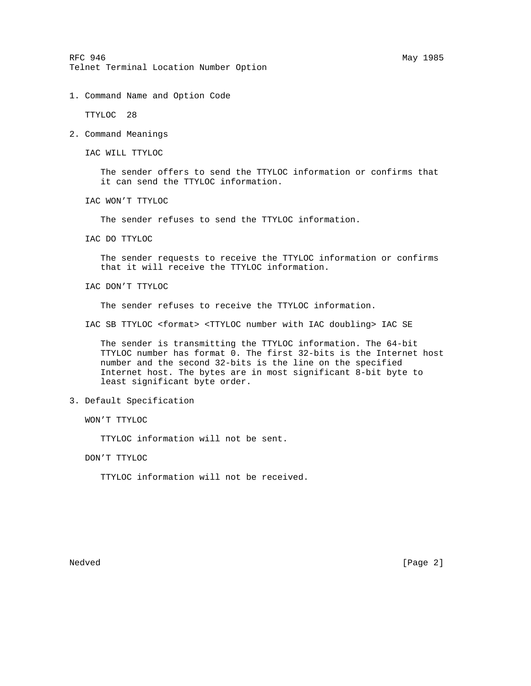RFC 946 May 1985 Telnet Terminal Location Number Option

1. Command Name and Option Code

TTYLOC 28

2. Command Meanings

IAC WILL TTYLOC

 The sender offers to send the TTYLOC information or confirms that it can send the TTYLOC information.

IAC WON'T TTYLOC

The sender refuses to send the TTYLOC information.

IAC DO TTYLOC

 The sender requests to receive the TTYLOC information or confirms that it will receive the TTYLOC information.

IAC DON'T TTYLOC

The sender refuses to receive the TTYLOC information.

IAC SB TTYLOC <format> <TTYLOC number with IAC doubling> IAC SE

 The sender is transmitting the TTYLOC information. The 64-bit TTYLOC number has format 0. The first 32-bits is the Internet host number and the second 32-bits is the line on the specified Internet host. The bytes are in most significant 8-bit byte to least significant byte order.

3. Default Specification

WON'T TTYLOC

TTYLOC information will not be sent.

DON'T TTYLOC

TTYLOC information will not be received.

Nedved [Page 2]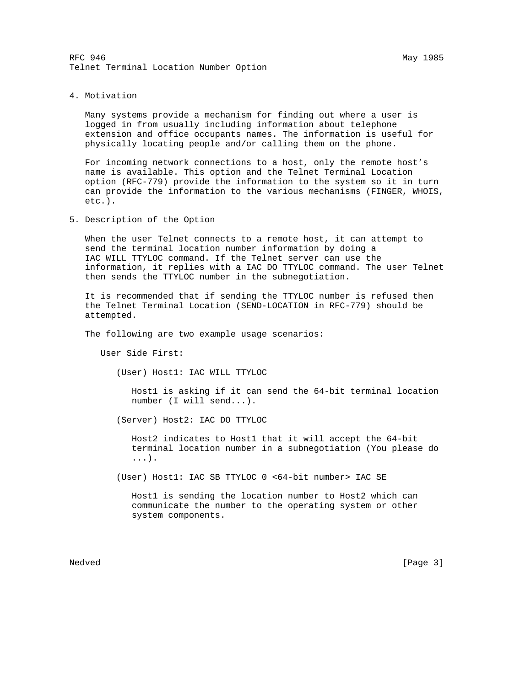4. Motivation

 Many systems provide a mechanism for finding out where a user is logged in from usually including information about telephone extension and office occupants names. The information is useful for physically locating people and/or calling them on the phone.

 For incoming network connections to a host, only the remote host's name is available. This option and the Telnet Terminal Location option (RFC-779) provide the information to the system so it in turn can provide the information to the various mechanisms (FINGER, WHOIS, etc.).

5. Description of the Option

 When the user Telnet connects to a remote host, it can attempt to send the terminal location number information by doing a IAC WILL TTYLOC command. If the Telnet server can use the information, it replies with a IAC DO TTYLOC command. The user Telnet then sends the TTYLOC number in the subnegotiation.

 It is recommended that if sending the TTYLOC number is refused then the Telnet Terminal Location (SEND-LOCATION in RFC-779) should be attempted.

The following are two example usage scenarios:

User Side First:

(User) Host1: IAC WILL TTYLOC

 Host1 is asking if it can send the 64-bit terminal location number (I will send...).

(Server) Host2: IAC DO TTYLOC

 Host2 indicates to Host1 that it will accept the 64-bit terminal location number in a subnegotiation (You please do ...).

(User) Host1: IAC SB TTYLOC 0 <64-bit number> IAC SE

 Host1 is sending the location number to Host2 which can communicate the number to the operating system or other system components.

Nedved [Page 3]